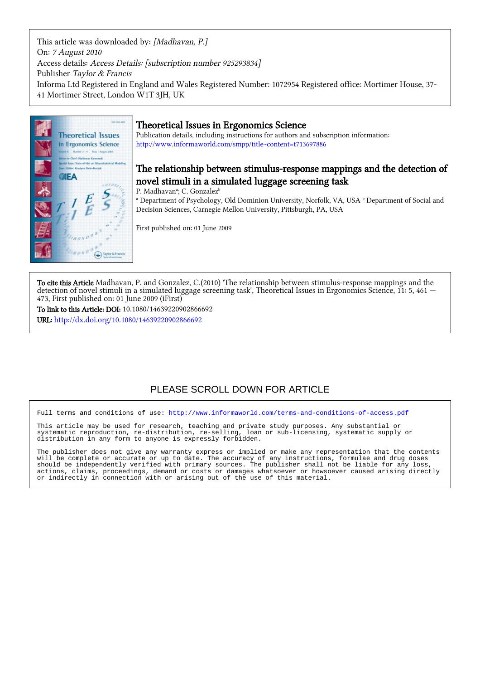This article was downloaded by: [Madhavan, P.] On: 7 August 2010 Access details: Access Details: [subscription number 925293834] Publisher Taylor & Francis Informa Ltd Registered in England and Wales Registered Number: 1072954 Registered office: Mortimer House, 37- 41 Mortimer Street, London W1T 3JH, UK



# Theoretical Issues in Ergonomics Science

Publication details, including instructions for authors and subscription information: <http://www.informaworld.com/smpp/title~content=t713697886>

# The relationship between stimulus-response mappings and the detection of novel stimuli in a simulated luggage screening task

P. Madhavanª; C. Gonzalez<sup>b</sup>

**a** Department of Psychology, Old Dominion University, Norfolk, VA, USA <sup>b</sup> Department of Social and Decision Sciences, Carnegie Mellon University, Pittsburgh, PA, USA

First published on: 01 June 2009

To cite this Article Madhavan, P. and Gonzalez, C.(2010) 'The relationship between stimulus-response mappings and the detection of novel stimuli in a simulated luggage screening task', Theoretical Issues in Ergonomics Science, 11: 5, 461 — 473, First published on: 01 June 2009 (iFirst)

To link to this Article: DOI: 10.1080/14639220902866692 URL: <http://dx.doi.org/10.1080/14639220902866692>

# PLEASE SCROLL DOWN FOR ARTICLE

Full terms and conditions of use:<http://www.informaworld.com/terms-and-conditions-of-access.pdf>

This article may be used for research, teaching and private study purposes. Any substantial or systematic reproduction, re-distribution, re-selling, loan or sub-licensing, systematic supply or distribution in any form to anyone is expressly forbidden.

The publisher does not give any warranty express or implied or make any representation that the contents will be complete or accurate or up to date. The accuracy of any instructions, formulae and drug doses should be independently verified with primary sources. The publisher shall not be liable for any loss, actions, claims, proceedings, demand or costs or damages whatsoever or howsoever caused arising directly or indirectly in connection with or arising out of the use of this material.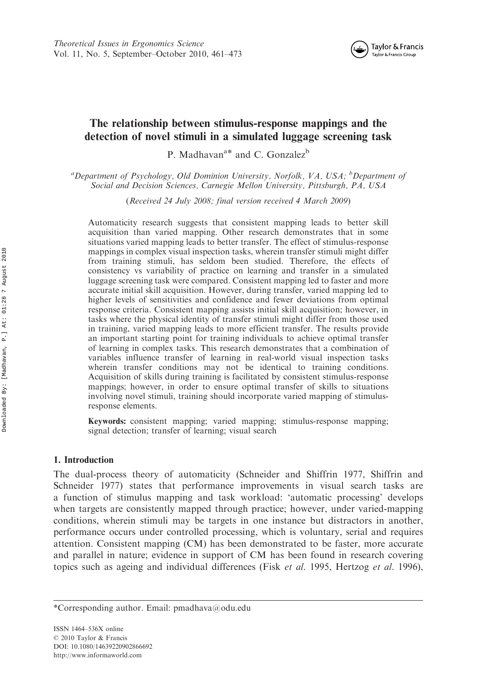

# The relationship between stimulus-response mappings and the detection of novel stimuli in a simulated luggage screening task

P. Madhavan<sup>a\*</sup> and C. Gonzalez<sup>b</sup>

<sup>a</sup>Department of Psychology, Old Dominion University, Norfolk, VA, USA; <sup>b</sup>Department of Social and Decision Sciences, Carnegie Mellon University, Pittsburgh, PA, USA

(Received 24 July 2008; final version received 4 March 2009)

Automaticity research suggests that consistent mapping leads to better skill acquisition than varied mapping. Other research demonstrates that in some situations varied mapping leads to better transfer. The effect of stimulus-response mappings in complex visual inspection tasks, wherein transfer stimuli might differ from training stimuli, has seldom been studied. Therefore, the effects of consistency vs variability of practice on learning and transfer in a simulated luggage screening task were compared. Consistent mapping led to faster and more accurate initial skill acquisition. However, during transfer, varied mapping led to higher levels of sensitivities and confidence and fewer deviations from optimal response criteria. Consistent mapping assists initial skill acquisition; however, in tasks where the physical identity of transfer stimuli might differ from those used in training, varied mapping leads to more efficient transfer. The results provide an important starting point for training individuals to achieve optimal transfer of learning in complex tasks. This research demonstrates that a combination of variables influence transfer of learning in real-world visual inspection tasks wherein transfer conditions may not be identical to training conditions. Acquisition of skills during training is facilitated by consistent stimulus-response mappings; however, in order to ensure optimal transfer of skills to situations involving novel stimuli, training should incorporate varied mapping of stimulusresponse elements.

Keywords: consistent mapping; varied mapping; stimulus-response mapping; signal detection; transfer of learning; visual search

## 1. Introduction

The dual-process theory of automaticity (Schneider and Shiffrin 1977, Shiffrin and Schneider 1977) states that performance improvements in visual search tasks are a function of stimulus mapping and task workload: 'automatic processing' develops when targets are consistently mapped through practice; however, under varied-mapping conditions, wherein stimuli may be targets in one instance but distractors in another, performance occurs under controlled processing, which is voluntary, serial and requires attention. Consistent mapping (CM) has been demonstrated to be faster, more accurate and parallel in nature; evidence in support of CM has been found in research covering topics such as ageing and individual differences (Fisk *et al.* 1995, Hertzog *et al.* 1996),

ISSN 1464–536X online © 2010 Taylor & Francis DOI: 10.1080/14639220902866692 http://www.informaworld.com

<sup>\*</sup>Corresponding author. Email: pmadhava@odu.edu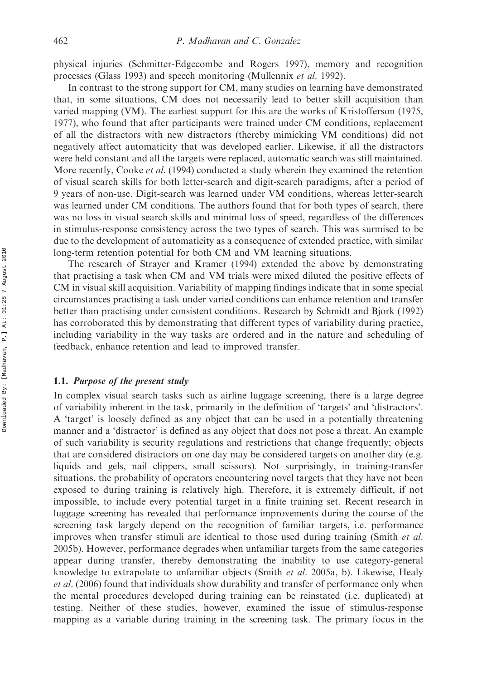physical injuries (Schmitter-Edgecombe and Rogers 1997), memory and recognition processes (Glass 1993) and speech monitoring (Mullennix et al. 1992).

In contrast to the strong support for CM, many studies on learning have demonstrated that, in some situations, CM does not necessarily lead to better skill acquisition than varied mapping (VM). The earliest support for this are the works of Kristofferson (1975, 1977), who found that after participants were trained under CM conditions, replacement of all the distractors with new distractors (thereby mimicking VM conditions) did not negatively affect automaticity that was developed earlier. Likewise, if all the distractors were held constant and all the targets were replaced, automatic search was still maintained. More recently, Cooke *et al.* (1994) conducted a study wherein they examined the retention of visual search skills for both letter-search and digit-search paradigms, after a period of 9 years of non-use. Digit-search was learned under VM conditions, whereas letter-search was learned under CM conditions. The authors found that for both types of search, there was no loss in visual search skills and minimal loss of speed, regardless of the differences in stimulus-response consistency across the two types of search. This was surmised to be due to the development of automaticity as a consequence of extended practice, with similar long-term retention potential for both CM and VM learning situations.

The research of Strayer and Kramer (1994) extended the above by demonstrating that practising a task when CM and VM trials were mixed diluted the positive effects of CM in visual skill acquisition. Variability of mapping findings indicate that in some special circumstances practising a task under varied conditions can enhance retention and transfer better than practising under consistent conditions. Research by Schmidt and Bjork (1992) has corroborated this by demonstrating that different types of variability during practice, including variability in the way tasks are ordered and in the nature and scheduling of feedback, enhance retention and lead to improved transfer.

### 1.1. Purpose of the present study

In complex visual search tasks such as airline luggage screening, there is a large degree of variability inherent in the task, primarily in the definition of 'targets' and 'distractors'. A 'target' is loosely defined as any object that can be used in a potentially threatening manner and a 'distractor' is defined as any object that does not pose a threat. An example of such variability is security regulations and restrictions that change frequently; objects that are considered distractors on one day may be considered targets on another day (e.g. liquids and gels, nail clippers, small scissors). Not surprisingly, in training-transfer situations, the probability of operators encountering novel targets that they have not been exposed to during training is relatively high. Therefore, it is extremely difficult, if not impossible, to include every potential target in a finite training set. Recent research in luggage screening has revealed that performance improvements during the course of the screening task largely depend on the recognition of familiar targets, i.e. performance improves when transfer stimuli are identical to those used during training (Smith et al. 2005b). However, performance degrades when unfamiliar targets from the same categories appear during transfer, thereby demonstrating the inability to use category-general knowledge to extrapolate to unfamiliar objects (Smith et al. 2005a, b). Likewise, Healy et al. (2006) found that individuals show durability and transfer of performance only when the mental procedures developed during training can be reinstated (i.e. duplicated) at testing. Neither of these studies, however, examined the issue of stimulus-response mapping as a variable during training in the screening task. The primary focus in the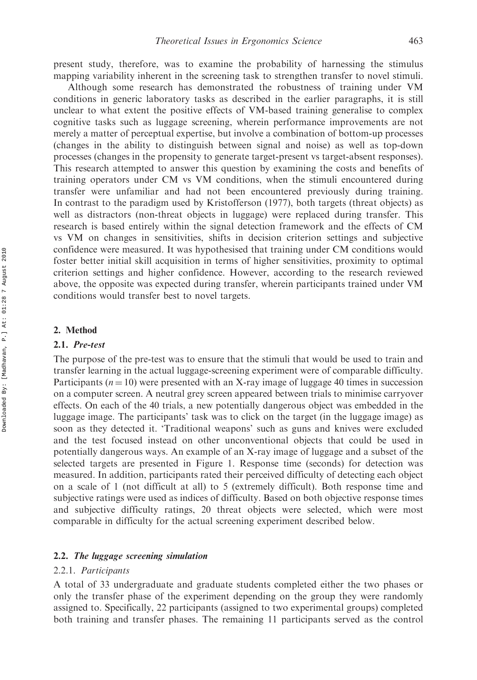present study, therefore, was to examine the probability of harnessing the stimulus mapping variability inherent in the screening task to strengthen transfer to novel stimuli.

Although some research has demonstrated the robustness of training under VM conditions in generic laboratory tasks as described in the earlier paragraphs, it is still unclear to what extent the positive effects of VM-based training generalise to complex cognitive tasks such as luggage screening, wherein performance improvements are not merely a matter of perceptual expertise, but involve a combination of bottom-up processes (changes in the ability to distinguish between signal and noise) as well as top-down processes (changes in the propensity to generate target-present vs target-absent responses). This research attempted to answer this question by examining the costs and benefits of training operators under CM vs VM conditions, when the stimuli encountered during transfer were unfamiliar and had not been encountered previously during training. In contrast to the paradigm used by Kristofferson (1977), both targets (threat objects) as well as distractors (non-threat objects in luggage) were replaced during transfer. This research is based entirely within the signal detection framework and the effects of CM vs VM on changes in sensitivities, shifts in decision criterion settings and subjective confidence were measured. It was hypothesised that training under CM conditions would foster better initial skill acquisition in terms of higher sensitivities, proximity to optimal criterion settings and higher confidence. However, according to the research reviewed above, the opposite was expected during transfer, wherein participants trained under VM conditions would transfer best to novel targets.

# 2. Method

#### 2.1. Pre-test

The purpose of the pre-test was to ensure that the stimuli that would be used to train and transfer learning in the actual luggage-screening experiment were of comparable difficulty. Participants ( $n = 10$ ) were presented with an X-ray image of luggage 40 times in succession on a computer screen. A neutral grey screen appeared between trials to minimise carryover effects. On each of the 40 trials, a new potentially dangerous object was embedded in the luggage image. The participants' task was to click on the target (in the luggage image) as soon as they detected it. 'Traditional weapons' such as guns and knives were excluded and the test focused instead on other unconventional objects that could be used in potentially dangerous ways. An example of an X-ray image of luggage and a subset of the selected targets are presented in Figure 1. Response time (seconds) for detection was measured. In addition, participants rated their perceived difficulty of detecting each object on a scale of 1 (not difficult at all) to 5 (extremely difficult). Both response time and subjective ratings were used as indices of difficulty. Based on both objective response times and subjective difficulty ratings, 20 threat objects were selected, which were most comparable in difficulty for the actual screening experiment described below.

#### 2.2. The luggage screening simulation

#### 2.2.1. Participants

A total of 33 undergraduate and graduate students completed either the two phases or only the transfer phase of the experiment depending on the group they were randomly assigned to. Specifically, 22 participants (assigned to two experimental groups) completed both training and transfer phases. The remaining 11 participants served as the control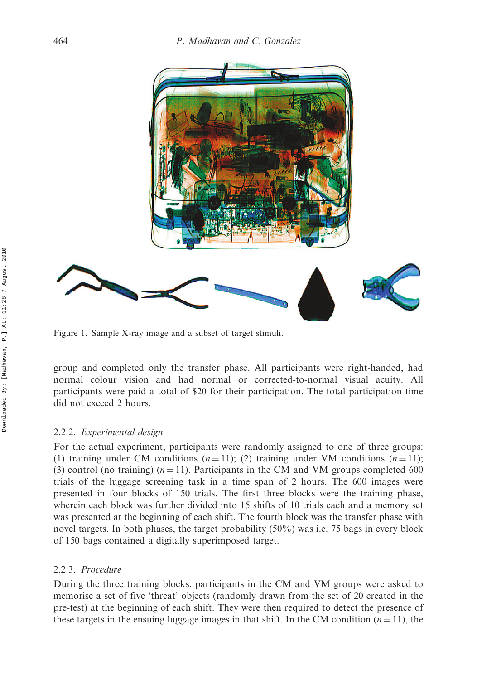

Figure 1. Sample X-ray image and a subset of target stimuli.

group and completed only the transfer phase. All participants were right-handed, had normal colour vision and had normal or corrected-to-normal visual acuity. All participants were paid a total of \$20 for their participation. The total participation time did not exceed 2 hours.

#### 2.2.2. Experimental design

For the actual experiment, participants were randomly assigned to one of three groups: (1) training under CM conditions  $(n = 11)$ ; (2) training under VM conditions  $(n = 11)$ ; (3) control (no training)  $(n = 11)$ . Participants in the CM and VM groups completed 600 trials of the luggage screening task in a time span of 2 hours. The 600 images were presented in four blocks of 150 trials. The first three blocks were the training phase, wherein each block was further divided into 15 shifts of 10 trials each and a memory set was presented at the beginning of each shift. The fourth block was the transfer phase with novel targets. In both phases, the target probability (50%) was i.e. 75 bags in every block of 150 bags contained a digitally superimposed target.

## 2.2.3. Procedure

During the three training blocks, participants in the CM and VM groups were asked to memorise a set of five 'threat' objects (randomly drawn from the set of 20 created in the pre-test) at the beginning of each shift. They were then required to detect the presence of these targets in the ensuing luggage images in that shift. In the CM condition  $(n = 11)$ , the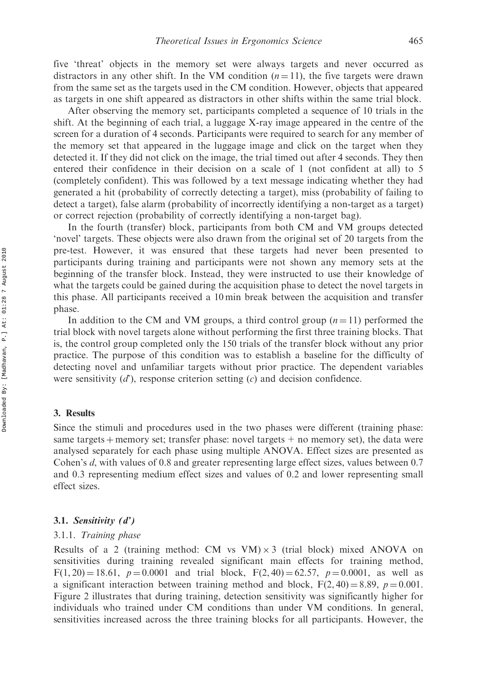five 'threat' objects in the memory set were always targets and never occurred as distractors in any other shift. In the VM condition  $(n=11)$ , the five targets were drawn from the same set as the targets used in the CM condition. However, objects that appeared as targets in one shift appeared as distractors in other shifts within the same trial block.

After observing the memory set, participants completed a sequence of 10 trials in the shift. At the beginning of each trial, a luggage X-ray image appeared in the centre of the screen for a duration of 4 seconds. Participants were required to search for any member of the memory set that appeared in the luggage image and click on the target when they detected it. If they did not click on the image, the trial timed out after 4 seconds. They then entered their confidence in their decision on a scale of 1 (not confident at all) to 5 (completely confident). This was followed by a text message indicating whether they had generated a hit (probability of correctly detecting a target), miss (probability of failing to detect a target), false alarm (probability of incorrectly identifying a non-target as a target) or correct rejection (probability of correctly identifying a non-target bag).

In the fourth (transfer) block, participants from both CM and VM groups detected 'novel' targets. These objects were also drawn from the original set of 20 targets from the pre-test. However, it was ensured that these targets had never been presented to participants during training and participants were not shown any memory sets at the beginning of the transfer block. Instead, they were instructed to use their knowledge of what the targets could be gained during the acquisition phase to detect the novel targets in this phase. All participants received a 10 min break between the acquisition and transfer phase.

In addition to the CM and VM groups, a third control group  $(n = 11)$  performed the trial block with novel targets alone without performing the first three training blocks. That is, the control group completed only the 150 trials of the transfer block without any prior practice. The purpose of this condition was to establish a baseline for the difficulty of detecting novel and unfamiliar targets without prior practice. The dependent variables were sensitivity  $(d')$ , response criterion setting  $(c)$  and decision confidence.

#### 3. Results

Since the stimuli and procedures used in the two phases were different (training phase: same targets  $+$  memory set; transfer phase: novel targets  $+$  no memory set), the data were analysed separately for each phase using multiple ANOVA. Effect sizes are presented as Cohen's d, with values of 0.8 and greater representing large effect sizes, values between 0.7 and 0.3 representing medium effect sizes and values of 0.2 and lower representing small effect sizes.

#### 3.1. Sensitivity (d')

#### 3.1.1. Training phase

Results of a 2 (training method: CM vs VM)  $\times$  3 (trial block) mixed ANOVA on sensitivities during training revealed significant main effects for training method,  $F(1, 20) = 18.61$ ,  $p = 0.0001$  and trial block,  $F(2, 40) = 62.57$ ,  $p = 0.0001$ , as well as a significant interaction between training method and block,  $F(2, 40) = 8.89$ ,  $p = 0.001$ . Figure 2 illustrates that during training, detection sensitivity was significantly higher for individuals who trained under CM conditions than under VM conditions. In general, sensitivities increased across the three training blocks for all participants. However, the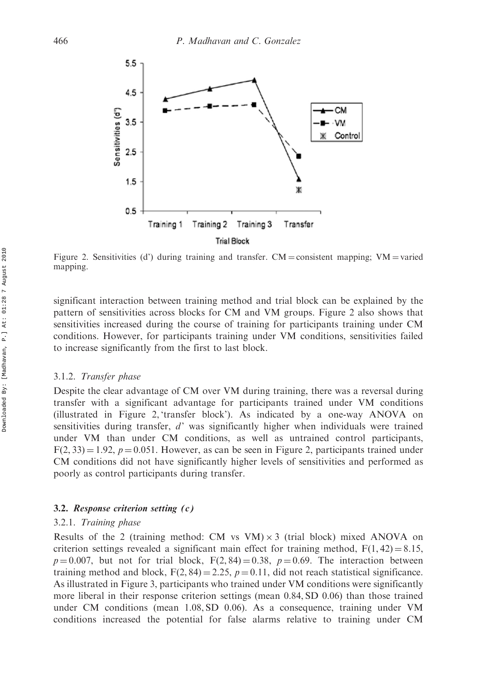

Figure 2. Sensitivities (d') during training and transfer. CM = consistent mapping; VM = varied mapping.

significant interaction between training method and trial block can be explained by the pattern of sensitivities across blocks for CM and VM groups. Figure 2 also shows that sensitivities increased during the course of training for participants training under CM conditions. However, for participants training under VM conditions, sensitivities failed to increase significantly from the first to last block.

#### 3.1.2. Transfer phase

Despite the clear advantage of CM over VM during training, there was a reversal during transfer with a significant advantage for participants trained under VM conditions (illustrated in Figure 2, 'transfer block'). As indicated by a one-way ANOVA on sensitivities during transfer,  $d'$  was significantly higher when individuals were trained under VM than under CM conditions, as well as untrained control participants,  $F(2, 33) = 1.92$ ,  $p = 0.051$ . However, as can be seen in Figure 2, participants trained under CM conditions did not have significantly higher levels of sensitivities and performed as poorly as control participants during transfer.

#### 3.2. Response criterion setting (c)

#### 3.2.1. Training phase

Results of the 2 (training method: CM vs  $VM$ )  $\times$  3 (trial block) mixed ANOVA on criterion settings revealed a significant main effect for training method,  $F(1, 42) = 8.15$ ,  $p = 0.007$ , but not for trial block,  $F(2, 84) = 0.38$ ,  $p = 0.69$ . The interaction between training method and block,  $F(2, 84) = 2.25$ ,  $p = 0.11$ , did not reach statistical significance. As illustrated in Figure 3, participants who trained under VM conditions were significantly more liberal in their response criterion settings (mean 0.84, SD 0.06) than those trained under CM conditions (mean 1.08, SD 0.06). As a consequence, training under VM conditions increased the potential for false alarms relative to training under CM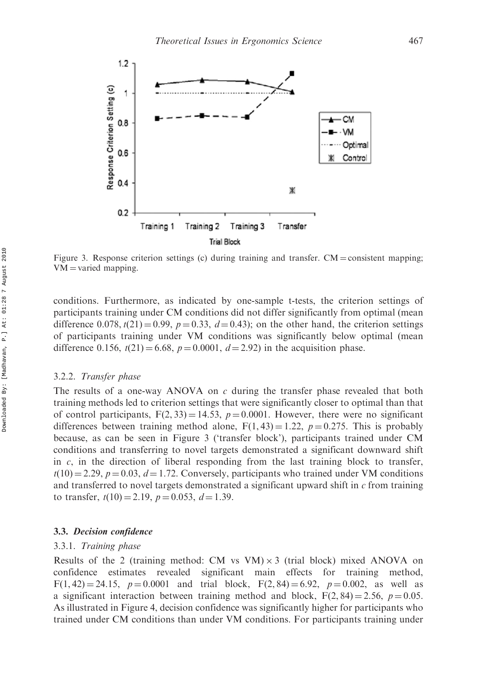

Figure 3. Response criterion settings (c) during training and transfer.  $CM =$  consistent mapping;  $VM = varied$  mapping.

conditions. Furthermore, as indicated by one-sample t-tests, the criterion settings of participants training under CM conditions did not differ significantly from optimal (mean difference 0.078,  $t(21) = 0.99$ ,  $p = 0.33$ ,  $d = 0.43$ ); on the other hand, the criterion settings of participants training under VM conditions was significantly below optimal (mean difference 0.156,  $t(21) = 6.68$ ,  $p = 0.0001$ ,  $d = 2.92$ ) in the acquisition phase.

#### 3.2.2. Transfer phase

The results of a one-way ANOVA on  $c$  during the transfer phase revealed that both training methods led to criterion settings that were significantly closer to optimal than that of control participants,  $F(2, 33) = 14.53$ ,  $p = 0.0001$ . However, there were no significant differences between training method alone,  $F(1, 43) = 1.22$ ,  $p = 0.275$ . This is probably because, as can be seen in Figure 3 ('transfer block'), participants trained under CM conditions and transferring to novel targets demonstrated a significant downward shift in  $c$ , in the direction of liberal responding from the last training block to transfer,  $t(10) = 2.29$ ,  $p = 0.03$ ,  $d = 1.72$ . Conversely, participants who trained under VM conditions and transferred to novel targets demonstrated a significant upward shift in  $c$  from training to transfer,  $t(10) = 2.19$ ,  $p = 0.053$ ,  $d = 1.39$ .

#### 3.3. Decision confidence

#### 3.3.1. Training phase

Results of the 2 (training method: CM vs  $VM$ )  $\times$  3 (trial block) mixed ANOVA on confidence estimates revealed significant main effects for training method,  $F(1, 42) = 24.15$ ,  $p = 0.0001$  and trial block,  $F(2, 84) = 6.92$ ,  $p = 0.002$ , as well as a significant interaction between training method and block,  $F(2, 84) = 2.56$ ,  $p = 0.05$ . As illustrated in Figure 4, decision confidence was significantly higher for participants who trained under CM conditions than under VM conditions. For participants training under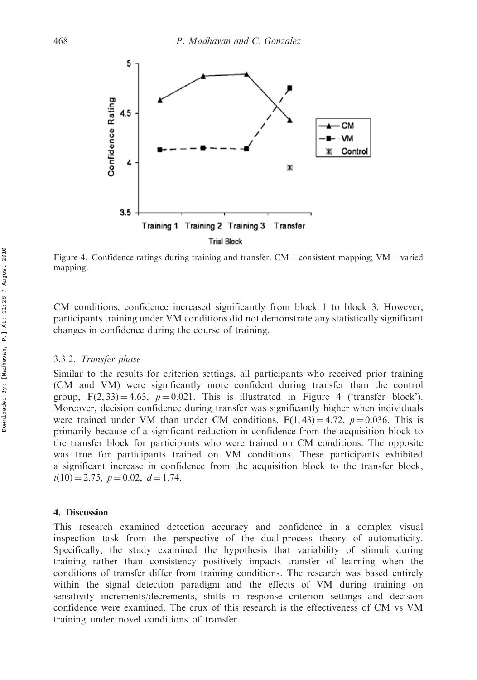

Figure 4. Confidence ratings during training and transfer.  $CM =$  consistent mapping;  $VM =$  varied mapping.

CM conditions, confidence increased significantly from block 1 to block 3. However, participants training under VM conditions did not demonstrate any statistically significant changes in confidence during the course of training.

#### 3.3.2. Transfer phase

Similar to the results for criterion settings, all participants who received prior training (CM and VM) were significantly more confident during transfer than the control group,  $F(2, 33) = 4.63$ ,  $p = 0.021$ . This is illustrated in Figure 4 ('transfer block'). Moreover, decision confidence during transfer was significantly higher when individuals were trained under VM than under CM conditions,  $F(1, 43) = 4.72$ ,  $p = 0.036$ . This is primarily because of a significant reduction in confidence from the acquisition block to the transfer block for participants who were trained on CM conditions. The opposite was true for participants trained on VM conditions. These participants exhibited a significant increase in confidence from the acquisition block to the transfer block,  $t(10) = 2.75$ ,  $p = 0.02$ ,  $d = 1.74$ .

### 4. Discussion

This research examined detection accuracy and confidence in a complex visual inspection task from the perspective of the dual-process theory of automaticity. Specifically, the study examined the hypothesis that variability of stimuli during training rather than consistency positively impacts transfer of learning when the conditions of transfer differ from training conditions. The research was based entirely within the signal detection paradigm and the effects of VM during training on sensitivity increments/decrements, shifts in response criterion settings and decision confidence were examined. The crux of this research is the effectiveness of CM vs VM training under novel conditions of transfer.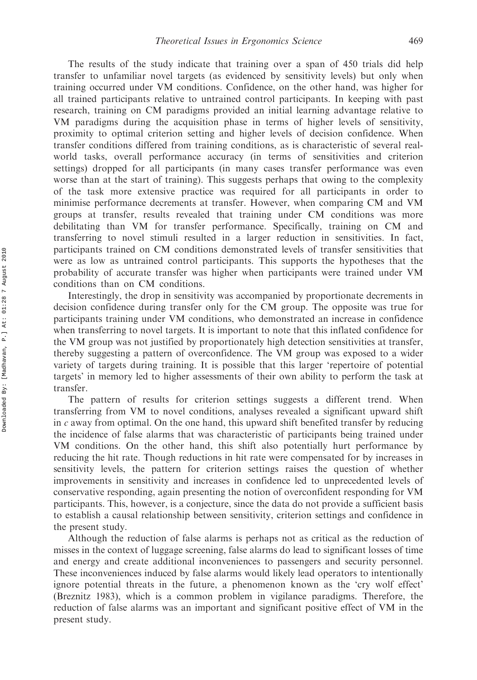The results of the study indicate that training over a span of 450 trials did help transfer to unfamiliar novel targets (as evidenced by sensitivity levels) but only when training occurred under VM conditions. Confidence, on the other hand, was higher for all trained participants relative to untrained control participants. In keeping with past research, training on CM paradigms provided an initial learning advantage relative to VM paradigms during the acquisition phase in terms of higher levels of sensitivity, proximity to optimal criterion setting and higher levels of decision confidence. When transfer conditions differed from training conditions, as is characteristic of several realworld tasks, overall performance accuracy (in terms of sensitivities and criterion settings) dropped for all participants (in many cases transfer performance was even worse than at the start of training). This suggests perhaps that owing to the complexity of the task more extensive practice was required for all participants in order to minimise performance decrements at transfer. However, when comparing CM and VM groups at transfer, results revealed that training under CM conditions was more debilitating than VM for transfer performance. Specifically, training on CM and transferring to novel stimuli resulted in a larger reduction in sensitivities. In fact, participants trained on CM conditions demonstrated levels of transfer sensitivities that were as low as untrained control participants. This supports the hypotheses that the probability of accurate transfer was higher when participants were trained under VM conditions than on CM conditions.

Interestingly, the drop in sensitivity was accompanied by proportionate decrements in decision confidence during transfer only for the CM group. The opposite was true for participants training under VM conditions, who demonstrated an increase in confidence when transferring to novel targets. It is important to note that this inflated confidence for the VM group was not justified by proportionately high detection sensitivities at transfer, thereby suggesting a pattern of overconfidence. The VM group was exposed to a wider variety of targets during training. It is possible that this larger 'repertoire of potential targets' in memory led to higher assessments of their own ability to perform the task at transfer.

The pattern of results for criterion settings suggests a different trend. When transferring from VM to novel conditions, analyses revealed a significant upward shift in  $c$  away from optimal. On the one hand, this upward shift benefited transfer by reducing the incidence of false alarms that was characteristic of participants being trained under VM conditions. On the other hand, this shift also potentially hurt performance by reducing the hit rate. Though reductions in hit rate were compensated for by increases in sensitivity levels, the pattern for criterion settings raises the question of whether improvements in sensitivity and increases in confidence led to unprecedented levels of conservative responding, again presenting the notion of overconfident responding for VM participants. This, however, is a conjecture, since the data do not provide a sufficient basis to establish a causal relationship between sensitivity, criterion settings and confidence in the present study.

Although the reduction of false alarms is perhaps not as critical as the reduction of misses in the context of luggage screening, false alarms do lead to significant losses of time and energy and create additional inconveniences to passengers and security personnel. These inconveniences induced by false alarms would likely lead operators to intentionally ignore potential threats in the future, a phenomenon known as the 'cry wolf effect' (Breznitz 1983), which is a common problem in vigilance paradigms. Therefore, the reduction of false alarms was an important and significant positive effect of VM in the present study.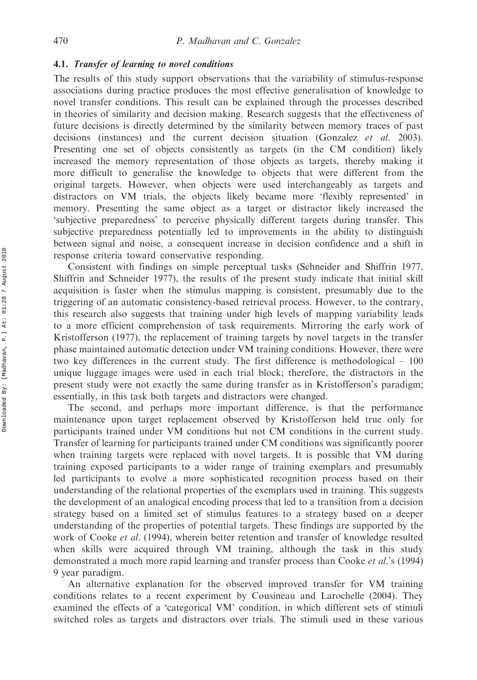#### 4.1. Transfer of learning to novel conditions

The results of this study support observations that the variability of stimulus-response associations during practice produces the most effective generalisation of knowledge to novel transfer conditions. This result can be explained through the processes described in theories of similarity and decision making. Research suggests that the effectiveness of future decisions is directly determined by the similarity between memory traces of past decisions (instances) and the current decision situation (Gonzalez et al. 2003). Presenting one set of objects consistently as targets (in the CM condition) likely increased the memory representation of those objects as targets, thereby making it more difficult to generalise the knowledge to objects that were different from the original targets. However, when objects were used interchangeably as targets and distractors on VM trials, the objects likely became more 'flexibly represented' in memory. Presenting the same object as a target or distractor likely increased the 'subjective preparedness' to perceive physically different targets during transfer. This subjective preparedness potentially led to improvements in the ability to distinguish between signal and noise, a consequent increase in decision confidence and a shift in response criteria toward conservative responding.

Consistent with findings on simple perceptual tasks (Schneider and Shiffrin 1977, Shiffrin and Schneider 1977), the results of the present study indicate that initial skill acquisition is faster when the stimulus mapping is consistent, presumably due to the triggering of an automatic consistency-based retrieval process. However, to the contrary, this research also suggests that training under high levels of mapping variability leads to a more efficient comprehension of task requirements. Mirroring the early work of Kristofferson (1977), the replacement of training targets by novel targets in the transfer phase maintained automatic detection under VM training conditions. However, there were two key differences in the current study. The first difference is methodological – 100 unique luggage images were used in each trial block; therefore, the distractors in the present study were not exactly the same during transfer as in Kristofferson's paradigm; essentially, in this task both targets and distractors were changed.

The second, and perhaps more important difference, is that the performance maintenance upon target replacement observed by Kristofferson held true only for participants trained under VM conditions but not CM conditions in the current study. Transfer of learning for participants trained under CM conditions was significantly poorer when training targets were replaced with novel targets. It is possible that VM during training exposed participants to a wider range of training exemplars and presumably led participants to evolve a more sophisticated recognition process based on their understanding of the relational properties of the exemplars used in training. This suggests the development of an analogical encoding process that led to a transition from a decision strategy based on a limited set of stimulus features to a strategy based on a deeper understanding of the properties of potential targets. These findings are supported by the work of Cooke *et al.* (1994), wherein better retention and transfer of knowledge resulted when skills were acquired through VM training, although the task in this study demonstrated a much more rapid learning and transfer process than Cooke et al.'s (1994) 9 year paradigm.

An alternative explanation for the observed improved transfer for VM training conditions relates to a recent experiment by Cousineau and Larochelle (2004). They examined the effects of a 'categorical VM' condition, in which different sets of stimuli switched roles as targets and distractors over trials. The stimuli used in these various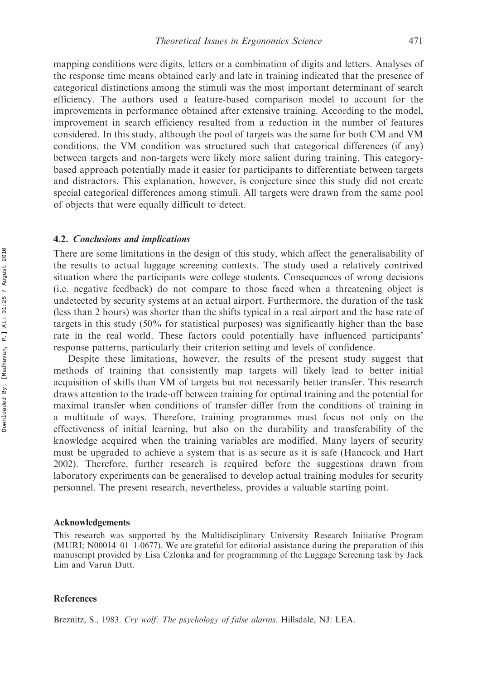mapping conditions were digits, letters or a combination of digits and letters. Analyses of the response time means obtained early and late in training indicated that the presence of categorical distinctions among the stimuli was the most important determinant of search efficiency. The authors used a feature-based comparison model to account for the improvements in performance obtained after extensive training. According to the model, improvement in search efficiency resulted from a reduction in the number of features considered. In this study, although the pool of targets was the same for both CM and VM conditions, the VM condition was structured such that categorical differences (if any) between targets and non-targets were likely more salient during training. This categorybased approach potentially made it easier for participants to differentiate between targets and distractors. This explanation, however, is conjecture since this study did not create special categorical differences among stimuli. All targets were drawn from the same pool of objects that were equally difficult to detect.

#### 4.2. Conclusions and implications

There are some limitations in the design of this study, which affect the generalisability of the results to actual luggage screening contexts. The study used a relatively contrived situation where the participants were college students. Consequences of wrong decisions (i.e. negative feedback) do not compare to those faced when a threatening object is undetected by security systems at an actual airport. Furthermore, the duration of the task (less than 2 hours) was shorter than the shifts typical in a real airport and the base rate of targets in this study (50% for statistical purposes) was significantly higher than the base rate in the real world. These factors could potentially have influenced participants' response patterns, particularly their criterion setting and levels of confidence.

Despite these limitations, however, the results of the present study suggest that methods of training that consistently map targets will likely lead to better initial acquisition of skills than VM of targets but not necessarily better transfer. This research draws attention to the trade-off between training for optimal training and the potential for maximal transfer when conditions of transfer differ from the conditions of training in a multitude of ways. Therefore, training programmes must focus not only on the effectiveness of initial learning, but also on the durability and transferability of the knowledge acquired when the training variables are modified. Many layers of security must be upgraded to achieve a system that is as secure as it is safe (Hancock and Hart 2002). Therefore, further research is required before the suggestions drawn from laboratory experiments can be generalised to develop actual training modules for security personnel. The present research, nevertheless, provides a valuable starting point.

#### Acknowledgements

This research was supported by the Multidisciplinary University Research Initiative Program (MURI; N00014–01–1-0677). We are grateful for editorial assistance during the preparation of this manuscript provided by Lisa Czlonka and for programming of the Luggage Screening task by Jack Lim and Varun Dutt.

#### References

Breznitz, S., 1983. Cry wolf: The psychology of false alarms. Hillsdale, NJ: LEA.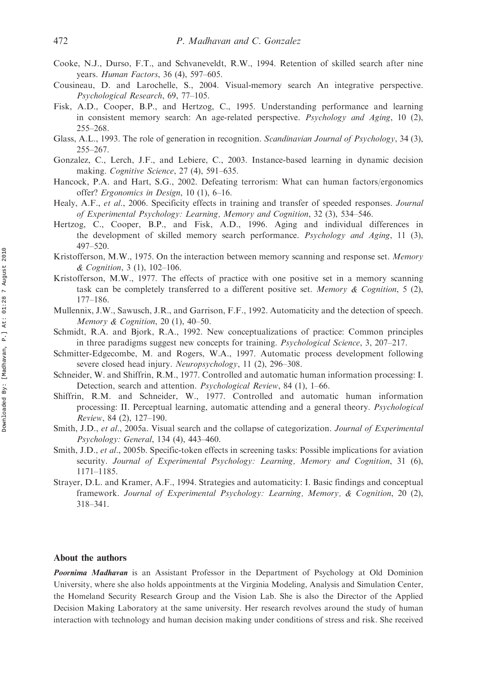- Cooke, N.J., Durso, F.T., and Schvaneveldt, R.W., 1994. Retention of skilled search after nine years. Human Factors, 36 (4), 597–605.
- Cousineau, D. and Larochelle, S., 2004. Visual-memory search An integrative perspective. Psychological Research, 69, 77–105.
- Fisk, A.D., Cooper, B.P., and Hertzog, C., 1995. Understanding performance and learning in consistent memory search: An age-related perspective. *Psychology and Aging*, 10 (2), 255–268.
- Glass, A.L., 1993. The role of generation in recognition. Scandinavian Journal of Psychology, 34 (3), 255–267.
- Gonzalez, C., Lerch, J.F., and Lebiere, C., 2003. Instance-based learning in dynamic decision making. Cognitive Science, 27 (4), 591–635.
- Hancock, P.A. and Hart, S.G., 2002. Defeating terrorism: What can human factors/ergonomics offer? Ergonomics in Design, 10 (1), 6–16.
- Healy, A.F., et al., 2006. Specificity effects in training and transfer of speeded responses. Journal of Experimental Psychology: Learning, Memory and Cognition, 32 (3), 534–546.
- Hertzog, C., Cooper, B.P., and Fisk, A.D., 1996. Aging and individual differences in the development of skilled memory search performance. Psychology and Aging, 11 (3), 497–520.
- Kristofferson, M.W., 1975. On the interaction between memory scanning and response set. Memory & Cognition, 3 (1), 102–106.
- Kristofferson, M.W., 1977. The effects of practice with one positive set in a memory scanning task can be completely transferred to a different positive set. Memory  $\&$  Cognition, 5 (2), 177–186.
- Mullennix, J.W., Sawusch, J.R., and Garrison, F.F., 1992. Automaticity and the detection of speech. Memory & Cognition, 20 (1), 40–50.
- Schmidt, R.A. and Bjork, R.A., 1992. New conceptualizations of practice: Common principles in three paradigms suggest new concepts for training. Psychological Science, 3, 207–217.
- Schmitter-Edgecombe, M. and Rogers, W.A., 1997. Automatic process development following severe closed head injury. Neuropsychology, 11 (2), 296–308.
- Schneider, W. and Shiffrin, R.M., 1977. Controlled and automatic human information processing: I. Detection, search and attention. Psychological Review, 84 (1), 1–66.
- Shiffrin, R.M. and Schneider, W., 1977. Controlled and automatic human information processing: II. Perceptual learning, automatic attending and a general theory. Psychological Review, 84 (2), 127–190.
- Smith, J.D., et al., 2005a. Visual search and the collapse of categorization. Journal of Experimental Psychology: General, 134 (4), 443–460.
- Smith, J.D., et al., 2005b. Specific-token effects in screening tasks: Possible implications for aviation security. Journal of Experimental Psychology: Learning, Memory and Cognition, 31 (6), 1171–1185.
- Strayer, D.L. and Kramer, A.F., 1994. Strategies and automaticity: I. Basic findings and conceptual framework. Journal of Experimental Psychology: Learning, Memory, & Cognition, 20 (2), 318–341.

#### About the authors

**Poornima Madhavan** is an Assistant Professor in the Department of Psychology at Old Dominion University, where she also holds appointments at the Virginia Modeling, Analysis and Simulation Center, the Homeland Security Research Group and the Vision Lab. She is also the Director of the Applied Decision Making Laboratory at the same university. Her research revolves around the study of human interaction with technology and human decision making under conditions of stress and risk. She received